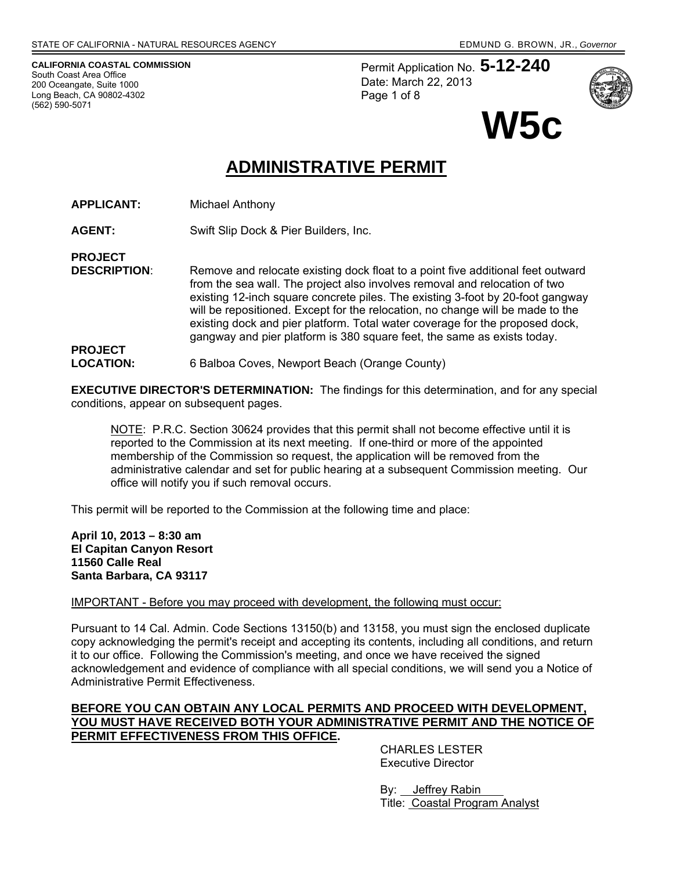**CALIFORNIA COASTAL COMMISSION**  South Coast Area Office 200 Oceangate, Suite 1000 Long Beach, CA 90802-4302 (562) 590-5071

Permit Application No. **5-12-240** Date: March 22, 2013 Page 1 of 8



**W5c** 

# **ADMINISTRATIVE PERMIT**

- **APPLICANT:** Michael Anthony
- **AGENT:** Swift Slip Dock & Pier Builders, Inc.

**PROJECT** 

**DESCRIPTION:** Remove and relocate existing dock float to a point five additional feet outward from the sea wall. The project also involves removal and relocation of two existing 12-inch square concrete piles. The existing 3-foot by 20-foot gangway will be repositioned. Except for the relocation, no change will be made to the existing dock and pier platform. Total water coverage for the proposed dock, gangway and pier platform is 380 square feet, the same as exists today.

#### **PROJECT LOCATION:** 6 Balboa Coves, Newport Beach (Orange County)

**EXECUTIVE DIRECTOR'S DETERMINATION:** The findings for this determination, and for any special conditions, appear on subsequent pages.

NOTE: P.R.C. Section 30624 provides that this permit shall not become effective until it is reported to the Commission at its next meeting. If one-third or more of the appointed membership of the Commission so request, the application will be removed from the administrative calendar and set for public hearing at a subsequent Commission meeting. Our office will notify you if such removal occurs.

This permit will be reported to the Commission at the following time and place:

**April 10, 2013 – 8:30 am El Capitan Canyon Resort 11560 Calle Real Santa Barbara, CA 93117** 

IMPORTANT - Before you may proceed with development, the following must occur:

Pursuant to 14 Cal. Admin. Code Sections 13150(b) and 13158, you must sign the enclosed duplicate copy acknowledging the permit's receipt and accepting its contents, including all conditions, and return it to our office. Following the Commission's meeting, and once we have received the signed acknowledgement and evidence of compliance with all special conditions, we will send you a Notice of Administrative Permit Effectiveness.

### **BEFORE YOU CAN OBTAIN ANY LOCAL PERMITS AND PROCEED WITH DEVELOPMENT, YOU MUST HAVE RECEIVED BOTH YOUR ADMINISTRATIVE PERMIT AND THE NOTICE OF PERMIT EFFECTIVENESS FROM THIS OFFICE.**

 CHARLES LESTER Executive Director

 By: Jeffrey Rabin Title: Coastal Program Analyst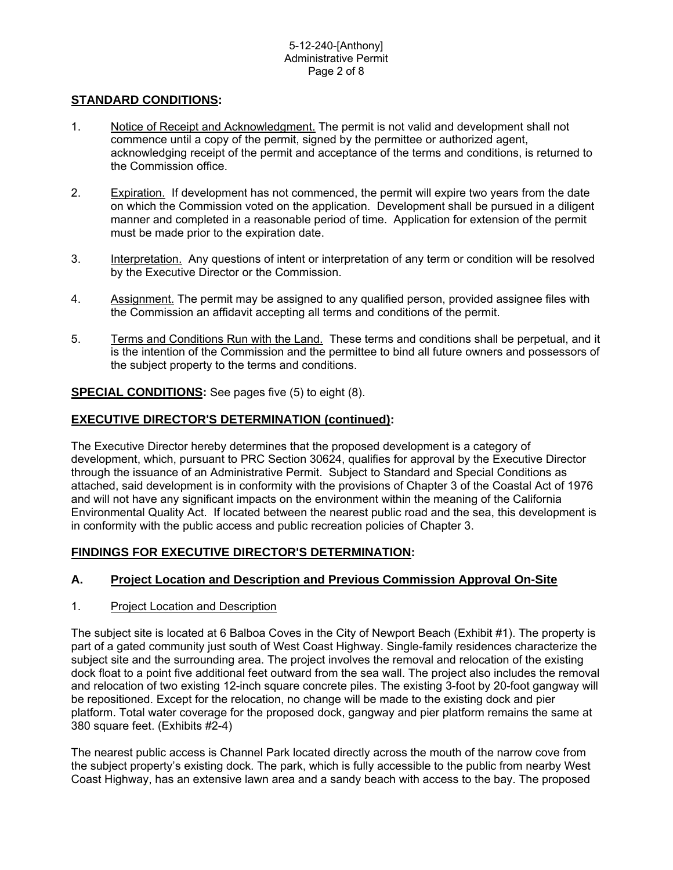# **STANDARD CONDITIONS:**

- 1. Notice of Receipt and Acknowledgment. The permit is not valid and development shall not commence until a copy of the permit, signed by the permittee or authorized agent, acknowledging receipt of the permit and acceptance of the terms and conditions, is returned to the Commission office.
- 2. Expiration. If development has not commenced, the permit will expire two years from the date on which the Commission voted on the application. Development shall be pursued in a diligent manner and completed in a reasonable period of time. Application for extension of the permit must be made prior to the expiration date.
- 3. Interpretation. Any questions of intent or interpretation of any term or condition will be resolved by the Executive Director or the Commission.
- 4. Assignment. The permit may be assigned to any qualified person, provided assignee files with the Commission an affidavit accepting all terms and conditions of the permit.
- 5. Terms and Conditions Run with the Land. These terms and conditions shall be perpetual, and it is the intention of the Commission and the permittee to bind all future owners and possessors of the subject property to the terms and conditions.

**SPECIAL CONDITIONS:** See pages five (5) to eight (8).

# **EXECUTIVE DIRECTOR'S DETERMINATION (continued):**

The Executive Director hereby determines that the proposed development is a category of development, which, pursuant to PRC Section 30624, qualifies for approval by the Executive Director through the issuance of an Administrative Permit. Subject to Standard and Special Conditions as attached, said development is in conformity with the provisions of Chapter 3 of the Coastal Act of 1976 and will not have any significant impacts on the environment within the meaning of the California Environmental Quality Act. If located between the nearest public road and the sea, this development is in conformity with the public access and public recreation policies of Chapter 3.

### **FINDINGS FOR EXECUTIVE DIRECTOR'S DETERMINATION:**

# **A. Project Location and Description and Previous Commission Approval On-Site**

### 1. Project Location and Description

The subject site is located at 6 Balboa Coves in the City of Newport Beach (Exhibit #1). The property is part of a gated community just south of West Coast Highway. Single-family residences characterize the subject site and the surrounding area. The project involves the removal and relocation of the existing dock float to a point five additional feet outward from the sea wall. The project also includes the removal and relocation of two existing 12-inch square concrete piles. The existing 3-foot by 20-foot gangway will be repositioned. Except for the relocation, no change will be made to the existing dock and pier platform. Total water coverage for the proposed dock, gangway and pier platform remains the same at 380 square feet. (Exhibits #2-4)

The nearest public access is Channel Park located directly across the mouth of the narrow cove from the subject property's existing dock. The park, which is fully accessible to the public from nearby West Coast Highway, has an extensive lawn area and a sandy beach with access to the bay. The proposed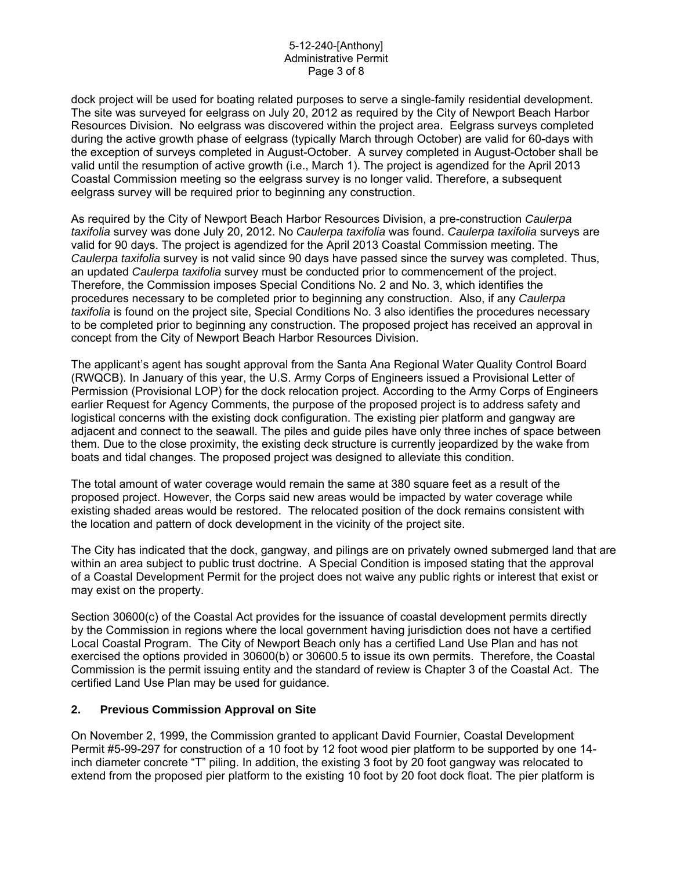#### 5-12-240-[Anthony] Administrative Permit Page 3 of 8

dock project will be used for boating related purposes to serve a single-family residential development. The site was surveyed for eelgrass on July 20, 2012 as required by the City of Newport Beach Harbor Resources Division. No eelgrass was discovered within the project area. Eelgrass surveys completed during the active growth phase of eelgrass (typically March through October) are valid for 60-days with the exception of surveys completed in August-October. A survey completed in August-October shall be valid until the resumption of active growth (i.e., March 1). The project is agendized for the April 2013 Coastal Commission meeting so the eelgrass survey is no longer valid. Therefore, a subsequent eelgrass survey will be required prior to beginning any construction.

As required by the City of Newport Beach Harbor Resources Division, a pre-construction *Caulerpa taxifolia* survey was done July 20, 2012. No *Caulerpa taxifolia* was found. *Caulerpa taxifolia* surveys are valid for 90 days. The project is agendized for the April 2013 Coastal Commission meeting. The *Caulerpa taxifolia* survey is not valid since 90 days have passed since the survey was completed. Thus, an updated *Caulerpa taxifolia* survey must be conducted prior to commencement of the project. Therefore, the Commission imposes Special Conditions No. 2 and No. 3, which identifies the procedures necessary to be completed prior to beginning any construction. Also, if any *Caulerpa taxifolia* is found on the project site, Special Conditions No. 3 also identifies the procedures necessary to be completed prior to beginning any construction. The proposed project has received an approval in concept from the City of Newport Beach Harbor Resources Division.

The applicant's agent has sought approval from the Santa Ana Regional Water Quality Control Board (RWQCB). In January of this year, the U.S. Army Corps of Engineers issued a Provisional Letter of Permission (Provisional LOP) for the dock relocation project. According to the Army Corps of Engineers earlier Request for Agency Comments, the purpose of the proposed project is to address safety and logistical concerns with the existing dock configuration. The existing pier platform and gangway are adjacent and connect to the seawall. The piles and guide piles have only three inches of space between them. Due to the close proximity, the existing deck structure is currently jeopardized by the wake from boats and tidal changes. The proposed project was designed to alleviate this condition.

The total amount of water coverage would remain the same at 380 square feet as a result of the proposed project. However, the Corps said new areas would be impacted by water coverage while existing shaded areas would be restored. The relocated position of the dock remains consistent with the location and pattern of dock development in the vicinity of the project site.

The City has indicated that the dock, gangway, and pilings are on privately owned submerged land that are within an area subject to public trust doctrine. A Special Condition is imposed stating that the approval of a Coastal Development Permit for the project does not waive any public rights or interest that exist or may exist on the property.

Section 30600(c) of the Coastal Act provides for the issuance of coastal development permits directly by the Commission in regions where the local government having jurisdiction does not have a certified Local Coastal Program. The City of Newport Beach only has a certified Land Use Plan and has not exercised the options provided in 30600(b) or 30600.5 to issue its own permits. Therefore, the Coastal Commission is the permit issuing entity and the standard of review is Chapter 3 of the Coastal Act. The certified Land Use Plan may be used for guidance.

### **2. Previous Commission Approval on Site**

On November 2, 1999, the Commission granted to applicant David Fournier, Coastal Development Permit #5-99-297 for construction of a 10 foot by 12 foot wood pier platform to be supported by one 14 inch diameter concrete "T" piling. In addition, the existing 3 foot by 20 foot gangway was relocated to extend from the proposed pier platform to the existing 10 foot by 20 foot dock float. The pier platform is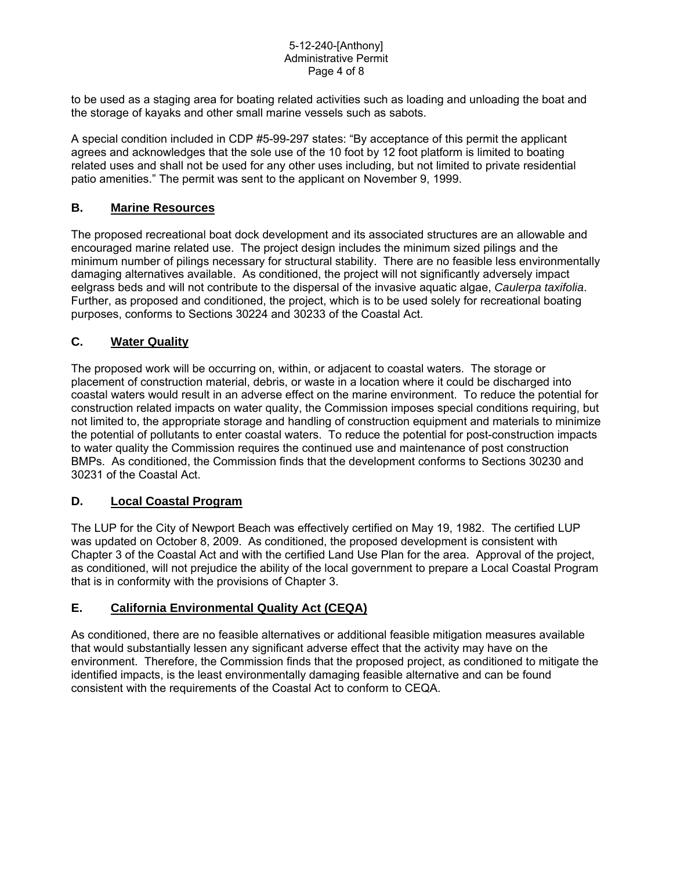#### 5-12-240-[Anthony] Administrative Permit Page 4 of 8

to be used as a staging area for boating related activities such as loading and unloading the boat and the storage of kayaks and other small marine vessels such as sabots.

A special condition included in CDP #5-99-297 states: "By acceptance of this permit the applicant agrees and acknowledges that the sole use of the 10 foot by 12 foot platform is limited to boating related uses and shall not be used for any other uses including, but not limited to private residential patio amenities." The permit was sent to the applicant on November 9, 1999.

# **B. Marine Resources**

The proposed recreational boat dock development and its associated structures are an allowable and encouraged marine related use. The project design includes the minimum sized pilings and the minimum number of pilings necessary for structural stability. There are no feasible less environmentally damaging alternatives available. As conditioned, the project will not significantly adversely impact eelgrass beds and will not contribute to the dispersal of the invasive aquatic algae, *Caulerpa taxifolia*. Further, as proposed and conditioned, the project, which is to be used solely for recreational boating purposes, conforms to Sections 30224 and 30233 of the Coastal Act.

# **C. Water Quality**

The proposed work will be occurring on, within, or adjacent to coastal waters. The storage or placement of construction material, debris, or waste in a location where it could be discharged into coastal waters would result in an adverse effect on the marine environment. To reduce the potential for construction related impacts on water quality, the Commission imposes special conditions requiring, but not limited to, the appropriate storage and handling of construction equipment and materials to minimize the potential of pollutants to enter coastal waters. To reduce the potential for post-construction impacts to water quality the Commission requires the continued use and maintenance of post construction BMPs. As conditioned, the Commission finds that the development conforms to Sections 30230 and 30231 of the Coastal Act.

# **D. Local Coastal Program**

The LUP for the City of Newport Beach was effectively certified on May 19, 1982. The certified LUP was updated on October 8, 2009. As conditioned, the proposed development is consistent with Chapter 3 of the Coastal Act and with the certified Land Use Plan for the area. Approval of the project, as conditioned, will not prejudice the ability of the local government to prepare a Local Coastal Program that is in conformity with the provisions of Chapter 3.

# **E. California Environmental Quality Act (CEQA)**

As conditioned, there are no feasible alternatives or additional feasible mitigation measures available that would substantially lessen any significant adverse effect that the activity may have on the environment. Therefore, the Commission finds that the proposed project, as conditioned to mitigate the identified impacts, is the least environmentally damaging feasible alternative and can be found consistent with the requirements of the Coastal Act to conform to CEQA.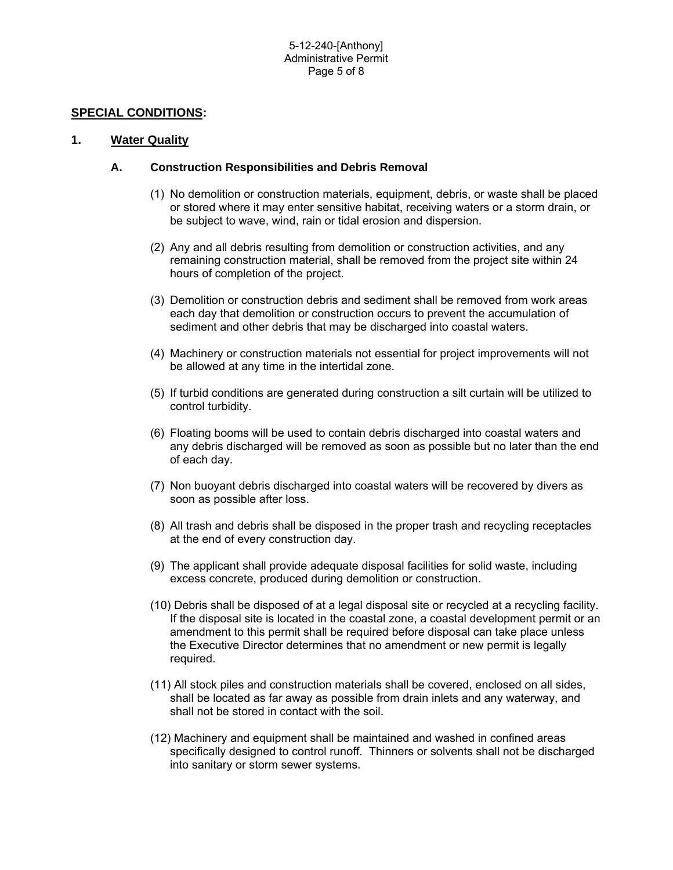### **SPECIAL CONDITIONS:**

#### **1. Water Quality**

#### **A. Construction Responsibilities and Debris Removal**

- (1) No demolition or construction materials, equipment, debris, or waste shall be placed or stored where it may enter sensitive habitat, receiving waters or a storm drain, or be subject to wave, wind, rain or tidal erosion and dispersion.
- (2) Any and all debris resulting from demolition or construction activities, and any remaining construction material, shall be removed from the project site within 24 hours of completion of the project.
- (3) Demolition or construction debris and sediment shall be removed from work areas each day that demolition or construction occurs to prevent the accumulation of sediment and other debris that may be discharged into coastal waters.
- (4) Machinery or construction materials not essential for project improvements will not be allowed at any time in the intertidal zone.
- (5) If turbid conditions are generated during construction a silt curtain will be utilized to control turbidity.
- (6) Floating booms will be used to contain debris discharged into coastal waters and any debris discharged will be removed as soon as possible but no later than the end of each day.
- (7) Non buoyant debris discharged into coastal waters will be recovered by divers as soon as possible after loss.
- (8) All trash and debris shall be disposed in the proper trash and recycling receptacles at the end of every construction day.
- (9) The applicant shall provide adequate disposal facilities for solid waste, including excess concrete, produced during demolition or construction.
- (10) Debris shall be disposed of at a legal disposal site or recycled at a recycling facility. If the disposal site is located in the coastal zone, a coastal development permit or an amendment to this permit shall be required before disposal can take place unless the Executive Director determines that no amendment or new permit is legally required.
- (11) All stock piles and construction materials shall be covered, enclosed on all sides, shall be located as far away as possible from drain inlets and any waterway, and shall not be stored in contact with the soil.
- (12) Machinery and equipment shall be maintained and washed in confined areas specifically designed to control runoff. Thinners or solvents shall not be discharged into sanitary or storm sewer systems.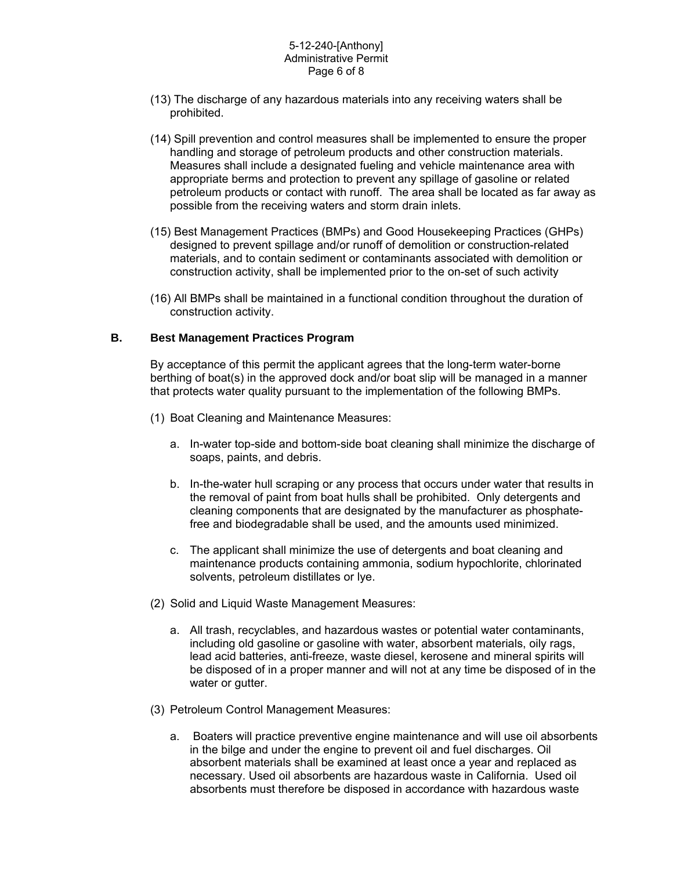#### 5-12-240-[Anthony] Administrative Permit Page 6 of 8

- (13) The discharge of any hazardous materials into any receiving waters shall be prohibited.
- (14) Spill prevention and control measures shall be implemented to ensure the proper handling and storage of petroleum products and other construction materials. Measures shall include a designated fueling and vehicle maintenance area with appropriate berms and protection to prevent any spillage of gasoline or related petroleum products or contact with runoff. The area shall be located as far away as possible from the receiving waters and storm drain inlets.
- (15) Best Management Practices (BMPs) and Good Housekeeping Practices (GHPs) designed to prevent spillage and/or runoff of demolition or construction-related materials, and to contain sediment or contaminants associated with demolition or construction activity, shall be implemented prior to the on-set of such activity
- (16) All BMPs shall be maintained in a functional condition throughout the duration of construction activity.

### **B. Best Management Practices Program**

By acceptance of this permit the applicant agrees that the long-term water-borne berthing of boat(s) in the approved dock and/or boat slip will be managed in a manner that protects water quality pursuant to the implementation of the following BMPs.

- (1) Boat Cleaning and Maintenance Measures:
	- a. In-water top-side and bottom-side boat cleaning shall minimize the discharge of soaps, paints, and debris.
	- b. In-the-water hull scraping or any process that occurs under water that results in the removal of paint from boat hulls shall be prohibited. Only detergents and cleaning components that are designated by the manufacturer as phosphatefree and biodegradable shall be used, and the amounts used minimized.
	- c. The applicant shall minimize the use of detergents and boat cleaning and maintenance products containing ammonia, sodium hypochlorite, chlorinated solvents, petroleum distillates or lye.
- (2) Solid and Liquid Waste Management Measures:
	- a. All trash, recyclables, and hazardous wastes or potential water contaminants, including old gasoline or gasoline with water, absorbent materials, oily rags, lead acid batteries, anti-freeze, waste diesel, kerosene and mineral spirits will be disposed of in a proper manner and will not at any time be disposed of in the water or gutter.
- (3) Petroleum Control Management Measures:
	- a. Boaters will practice preventive engine maintenance and will use oil absorbents in the bilge and under the engine to prevent oil and fuel discharges. Oil absorbent materials shall be examined at least once a year and replaced as necessary. Used oil absorbents are hazardous waste in California. Used oil absorbents must therefore be disposed in accordance with hazardous waste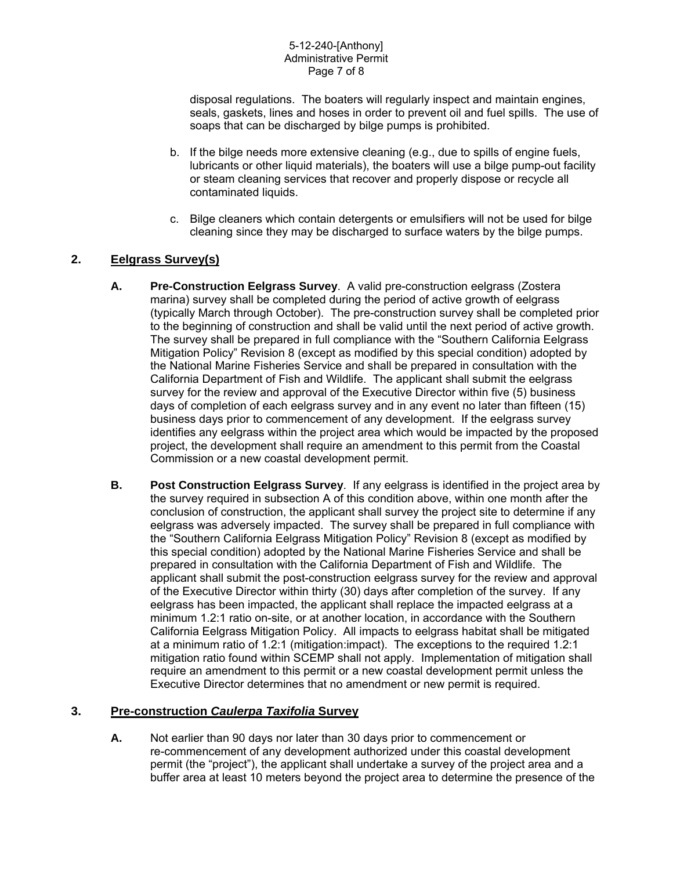disposal regulations. The boaters will regularly inspect and maintain engines, seals, gaskets, lines and hoses in order to prevent oil and fuel spills. The use of soaps that can be discharged by bilge pumps is prohibited.

- b. If the bilge needs more extensive cleaning (e.g., due to spills of engine fuels, lubricants or other liquid materials), the boaters will use a bilge pump-out facility or steam cleaning services that recover and properly dispose or recycle all contaminated liquids.
- c. Bilge cleaners which contain detergents or emulsifiers will not be used for bilge cleaning since they may be discharged to surface waters by the bilge pumps.

# **2. Eelgrass Survey(s)**

- **A. Pre-Construction Eelgrass Survey**. A valid pre-construction eelgrass (Zostera marina) survey shall be completed during the period of active growth of eelgrass (typically March through October). The pre-construction survey shall be completed prior to the beginning of construction and shall be valid until the next period of active growth. The survey shall be prepared in full compliance with the "Southern California Eelgrass Mitigation Policy" Revision 8 (except as modified by this special condition) adopted by the National Marine Fisheries Service and shall be prepared in consultation with the California Department of Fish and Wildlife. The applicant shall submit the eelgrass survey for the review and approval of the Executive Director within five (5) business days of completion of each eelgrass survey and in any event no later than fifteen (15) business days prior to commencement of any development. If the eelgrass survey identifies any eelgrass within the project area which would be impacted by the proposed project, the development shall require an amendment to this permit from the Coastal Commission or a new coastal development permit.
- **B. Post Construction Eelgrass Survey**. If any eelgrass is identified in the project area by the survey required in subsection A of this condition above, within one month after the conclusion of construction, the applicant shall survey the project site to determine if any eelgrass was adversely impacted. The survey shall be prepared in full compliance with the "Southern California Eelgrass Mitigation Policy" Revision 8 (except as modified by this special condition) adopted by the National Marine Fisheries Service and shall be prepared in consultation with the California Department of Fish and Wildlife. The applicant shall submit the post-construction eelgrass survey for the review and approval of the Executive Director within thirty (30) days after completion of the survey. If any eelgrass has been impacted, the applicant shall replace the impacted eelgrass at a minimum 1.2:1 ratio on-site, or at another location, in accordance with the Southern California Eelgrass Mitigation Policy. All impacts to eelgrass habitat shall be mitigated at a minimum ratio of 1.2:1 (mitigation:impact). The exceptions to the required 1.2:1 mitigation ratio found within SCEMP shall not apply. Implementation of mitigation shall require an amendment to this permit or a new coastal development permit unless the Executive Director determines that no amendment or new permit is required.

### **3. Pre-construction** *Caulerpa Taxifolia* **Survey**

**A.** Not earlier than 90 days nor later than 30 days prior to commencement or re-commencement of any development authorized under this coastal development permit (the "project"), the applicant shall undertake a survey of the project area and a buffer area at least 10 meters beyond the project area to determine the presence of the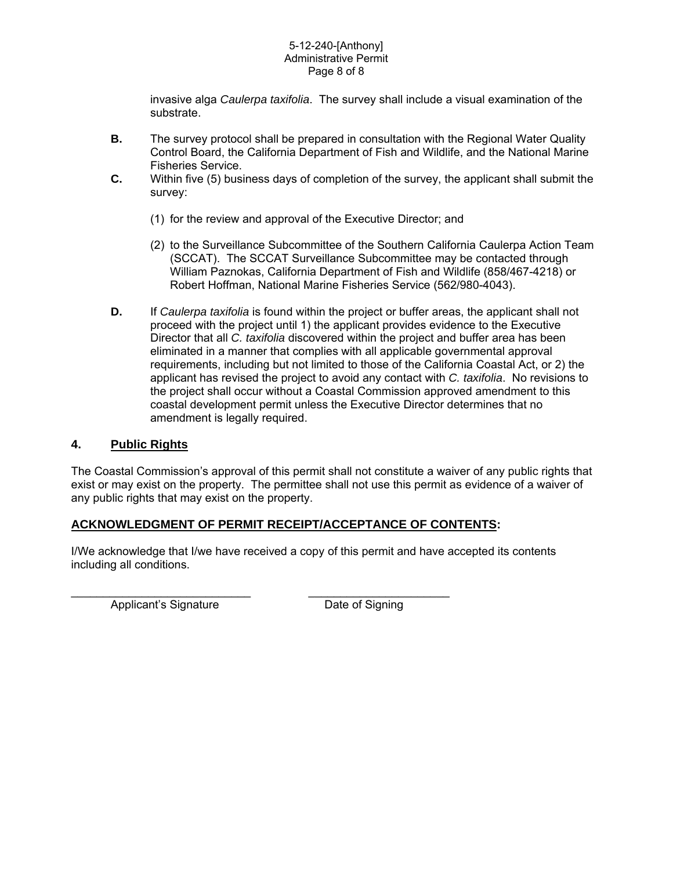#### 5-12-240-[Anthony] Administrative Permit Page 8 of 8

invasive alga *Caulerpa taxifolia*. The survey shall include a visual examination of the substrate.

- **B.** The survey protocol shall be prepared in consultation with the Regional Water Quality Control Board, the California Department of Fish and Wildlife, and the National Marine Fisheries Service.
- **C.** Within five (5) business days of completion of the survey, the applicant shall submit the survey:
	- (1) for the review and approval of the Executive Director; and
	- (2) to the Surveillance Subcommittee of the Southern California Caulerpa Action Team (SCCAT). The SCCAT Surveillance Subcommittee may be contacted through William Paznokas, California Department of Fish and Wildlife (858/467-4218) or Robert Hoffman, National Marine Fisheries Service (562/980-4043).
- **D.** If *Caulerpa taxifolia* is found within the project or buffer areas, the applicant shall not proceed with the project until 1) the applicant provides evidence to the Executive Director that all *C. taxifolia* discovered within the project and buffer area has been eliminated in a manner that complies with all applicable governmental approval requirements, including but not limited to those of the California Coastal Act, or 2) the applicant has revised the project to avoid any contact with *C. taxifolia*. No revisions to the project shall occur without a Coastal Commission approved amendment to this coastal development permit unless the Executive Director determines that no amendment is legally required.

### **4. Public Rights**

The Coastal Commission's approval of this permit shall not constitute a waiver of any public rights that exist or may exist on the property. The permittee shall not use this permit as evidence of a waiver of any public rights that may exist on the property.

### **ACKNOWLEDGMENT OF PERMIT RECEIPT/ACCEPTANCE OF CONTENTS:**

I/We acknowledge that I/we have received a copy of this permit and have accepted its contents including all conditions.

Applicant's Signature Date of Signing

\_\_\_\_\_\_\_\_\_\_\_\_\_\_\_\_\_\_\_\_\_\_\_\_\_\_\_\_ \_\_\_\_\_\_\_\_\_\_\_\_\_\_\_\_\_\_\_\_\_\_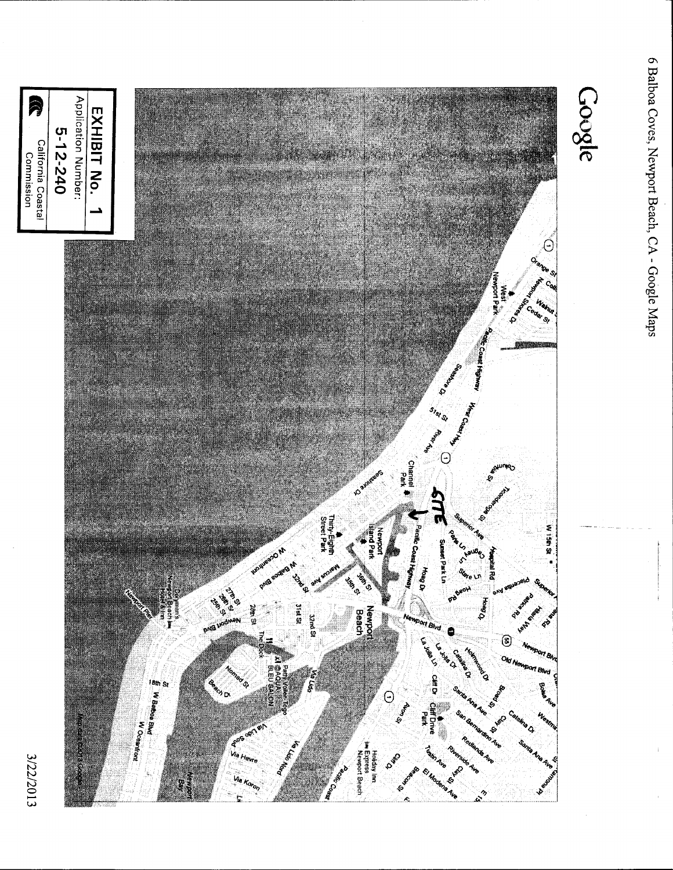

6 Balboa Coves, Newport Beach, CA - Google Maps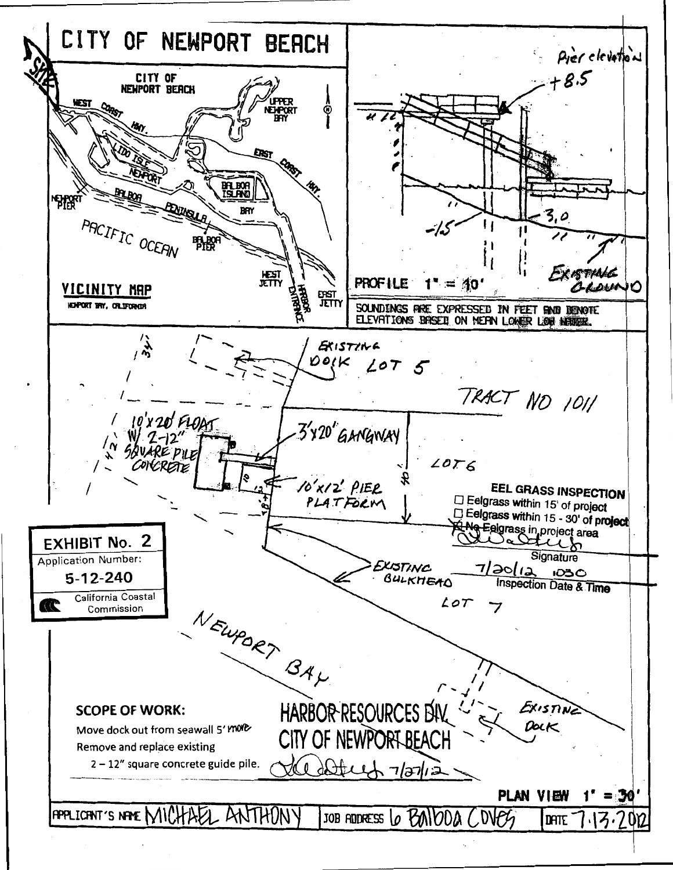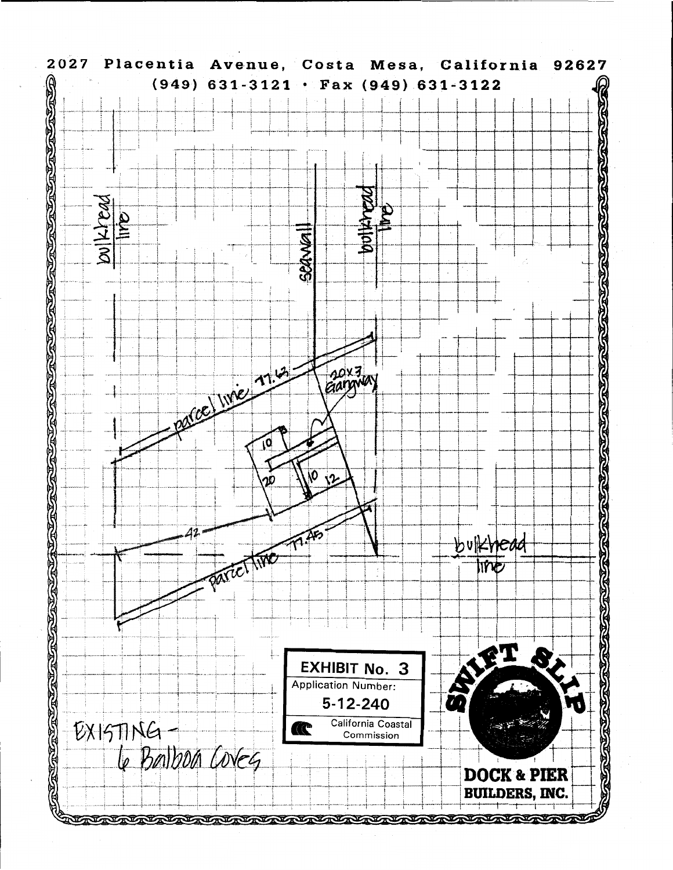